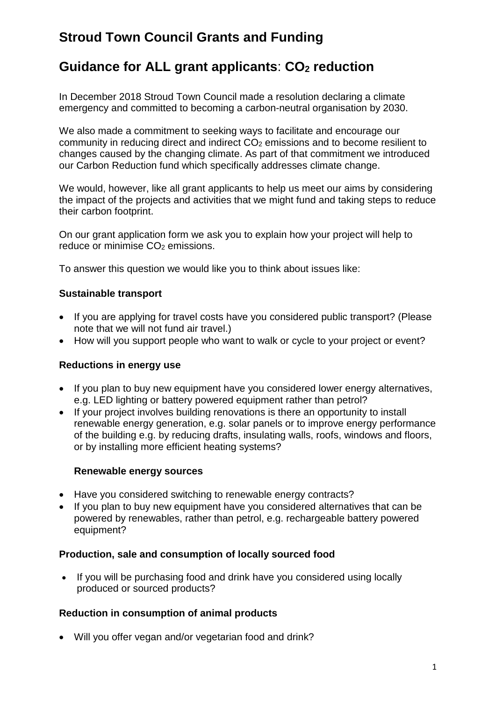# **Stroud Town Council Grants and Funding**

# **Guidance for ALL grant applicants**: **CO2 reduction**

In December 2018 Stroud Town Council made a resolution declaring a climate emergency and committed to becoming a carbon-neutral organisation by 2030.

We also made a commitment to seeking ways to facilitate and encourage our community in reducing direct and indirect CO<sub>2</sub> emissions and to become resilient to changes caused by the changing climate. As part of that commitment we introduced our Carbon Reduction fund which specifically addresses climate change.

We would, however, like all grant applicants to help us meet our aims by considering the impact of the projects and activities that we might fund and taking steps to reduce their carbon footprint.

On our grant application form we ask you to explain how your project will help to reduce or minimise  $CO<sub>2</sub>$  emissions.

To answer this question we would like you to think about issues like:

## **Sustainable transport**

- If you are applying for travel costs have you considered public transport? (Please note that we will not fund air travel.)
- How will you support people who want to walk or cycle to your project or event?

### **Reductions in energy use**

- If you plan to buy new equipment have you considered lower energy alternatives, e.g. LED lighting or battery powered equipment rather than petrol?
- If your project involves building renovations is there an opportunity to install renewable energy generation, e.g. solar panels or to improve energy performance of the building e.g. by reducing drafts, insulating walls, roofs, windows and floors, or by installing more efficient heating systems?

### **Renewable energy sources**

- Have you considered switching to renewable energy contracts?
- If you plan to buy new equipment have you considered alternatives that can be powered by renewables, rather than petrol, e.g. rechargeable battery powered equipment?

### **Production, sale and consumption of locally sourced food**

• If you will be purchasing food and drink have you considered using locally produced or sourced products?

### **Reduction in consumption of animal products**

• Will you offer vegan and/or vegetarian food and drink?